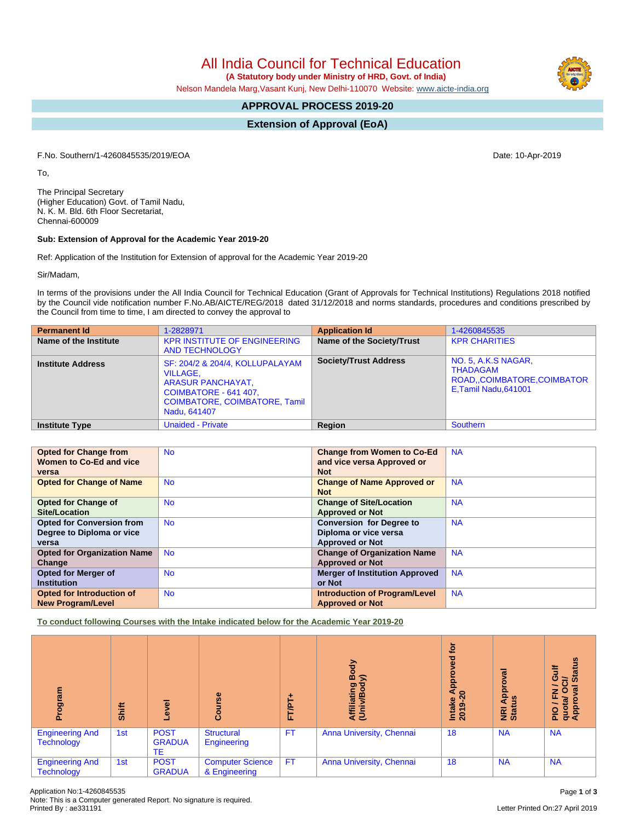All India Council for Technical Education

 **(A Statutory body under Ministry of HRD, Govt. of India)**

Nelson Mandela Marg,Vasant Kunj, New Delhi-110070 Website: [www.aicte-india.org](http://www.aicte-india.org)

# **APPROVAL PROCESS 2019-20**

**Extension of Approval (EoA)**

F.No. Southern/1-4260845535/2019/EOA Date: 10-Apr-2019

To,

The Principal Secretary (Higher Education) Govt. of Tamil Nadu, N. K. M. Bld. 6th Floor Secretariat, Chennai-600009

## **Sub: Extension of Approval for the Academic Year 2019-20**

Ref: Application of the Institution for Extension of approval for the Academic Year 2019-20

Sir/Madam,

In terms of the provisions under the All India Council for Technical Education (Grant of Approvals for Technical Institutions) Regulations 2018 notified by the Council vide notification number F.No.AB/AICTE/REG/2018 dated 31/12/2018 and norms standards, procedures and conditions prescribed by the Council from time to time, I am directed to convey the approval to

| <b>Permanent Id</b>      | 1-2828971                                                                                                                                                       | <b>Application Id</b>        | 1-4260845535                                                                          |
|--------------------------|-----------------------------------------------------------------------------------------------------------------------------------------------------------------|------------------------------|---------------------------------------------------------------------------------------|
| Name of the Institute    | <b>KPR INSTITUTE OF ENGINEERING</b><br><b>AND TECHNOLOGY</b>                                                                                                    | Name of the Society/Trust    | <b>KPR CHARITIES</b>                                                                  |
| <b>Institute Address</b> | SF: 204/2 & 204/4, KOLLUPALAYAM<br><b>VILLAGE.</b><br><b>ARASUR PANCHAYAT,</b><br>COIMBATORE - 641 407,<br><b>COIMBATORE, COIMBATORE, Tamil</b><br>Nadu, 641407 | <b>Society/Trust Address</b> | NO. 5, A.K.S NAGAR,<br>THADAGAM<br>ROAD, COIMBATORE, COIMBATOR<br>E,Tamil Nadu,641001 |
| <b>Institute Type</b>    | <b>Unaided - Private</b>                                                                                                                                        | <b>Region</b>                | Southern                                                                              |

| <b>Opted for Change from</b>       | <b>No</b> | <b>Change from Women to Co-Ed</b>     | <b>NA</b> |
|------------------------------------|-----------|---------------------------------------|-----------|
| Women to Co-Ed and vice            |           | and vice versa Approved or            |           |
| versa                              |           | <b>Not</b>                            |           |
| <b>Opted for Change of Name</b>    | <b>No</b> | <b>Change of Name Approved or</b>     | <b>NA</b> |
|                                    |           | <b>Not</b>                            |           |
| <b>Opted for Change of</b>         | <b>No</b> | <b>Change of Site/Location</b>        | <b>NA</b> |
| Site/Location                      |           | <b>Approved or Not</b>                |           |
| <b>Opted for Conversion from</b>   | <b>No</b> | <b>Conversion for Degree to</b>       | <b>NA</b> |
| Degree to Diploma or vice          |           | Diploma or vice versa                 |           |
| versa                              |           | <b>Approved or Not</b>                |           |
| <b>Opted for Organization Name</b> | <b>No</b> | <b>Change of Organization Name</b>    | <b>NA</b> |
| Change                             |           | <b>Approved or Not</b>                |           |
| <b>Opted for Merger of</b>         | <b>No</b> | <b>Merger of Institution Approved</b> | <b>NA</b> |
| <b>Institution</b>                 |           | or Not                                |           |
| Opted for Introduction of          | <b>No</b> | <b>Introduction of Program/Level</b>  | <b>NA</b> |
| <b>New Program/Level</b>           |           | <b>Approved or Not</b>                |           |

**To conduct following Courses with the Intake indicated below for the Academic Year 2019-20**

| ogram                                       | Shift | g<br>ڡؖ                            | Course                                   | <b>FT/PT</b> | Body<br>$\widehat{\phantom{a}}$<br>Affiliating<br>(Univ/Bod <sub>)</sub> | ğ<br>್ಠಾ<br><b>Appi</b><br>$\infty$<br><b>Intake</b><br>2019-2 | ड़<br>ō<br>Appr<br><b>SD</b><br><b>E</b> ät | <b>Status</b><br>₹<br>Ō<br>ਨੋ<br>π<br>O<br>z<br>щ<br>quota/<br>Approv<br><b>DIG</b> |
|---------------------------------------------|-------|------------------------------------|------------------------------------------|--------------|--------------------------------------------------------------------------|----------------------------------------------------------------|---------------------------------------------|-------------------------------------------------------------------------------------|
| <b>Engineering And</b><br><b>Technology</b> | 1st   | <b>POST</b><br><b>GRADUA</b><br>TE | <b>Structural</b><br>Engineering         | <b>FT</b>    | Anna University, Chennai                                                 | 18                                                             | <b>NA</b>                                   | <b>NA</b>                                                                           |
| <b>Engineering And</b><br><b>Technology</b> | 1st   | <b>POST</b><br><b>GRADUA</b>       | <b>Computer Science</b><br>& Engineering | <b>FT</b>    | Anna University, Chennai                                                 | 18                                                             | <b>NA</b>                                   | <b>NA</b>                                                                           |

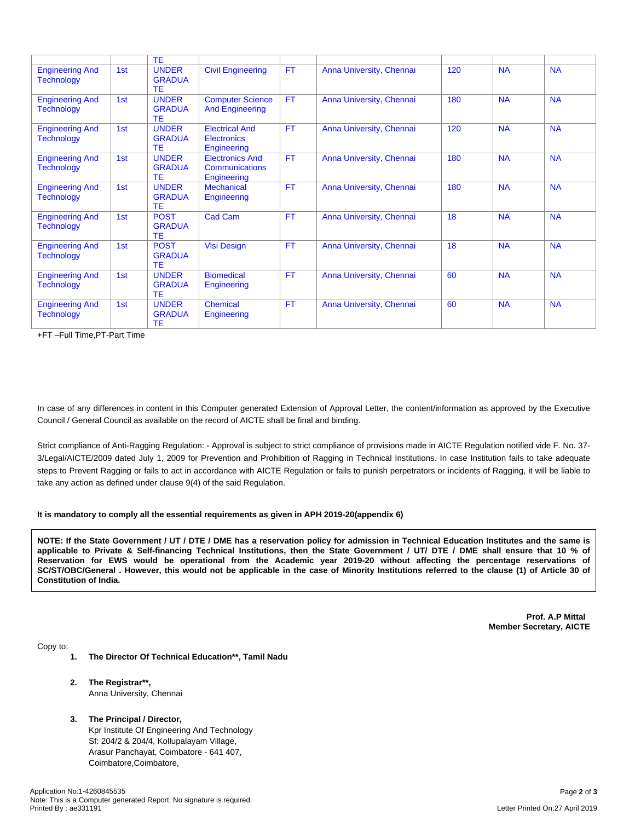|                                             |                 | <b>TE</b>                           |                                                            |           |                          |     |           |           |
|---------------------------------------------|-----------------|-------------------------------------|------------------------------------------------------------|-----------|--------------------------|-----|-----------|-----------|
| <b>Engineering And</b><br><b>Technology</b> | 1st             | <b>UNDER</b><br><b>GRADUA</b><br>TE | <b>Civil Engineering</b>                                   | <b>FT</b> | Anna University, Chennai | 120 | <b>NA</b> | <b>NA</b> |
| <b>Engineering And</b><br><b>Technology</b> | 1st             | <b>UNDER</b><br><b>GRADUA</b><br>TE | <b>Computer Science</b><br><b>And Engineering</b>          | <b>FT</b> | Anna University, Chennai | 180 | <b>NA</b> | <b>NA</b> |
| <b>Engineering And</b><br><b>Technology</b> | 1st             | <b>UNDER</b><br><b>GRADUA</b><br>TE | <b>Electrical And</b><br><b>Electronics</b><br>Engineering | <b>FT</b> | Anna University, Chennai | 120 | <b>NA</b> | <b>NA</b> |
| <b>Engineering And</b><br><b>Technology</b> | 1 <sub>st</sub> | <b>UNDER</b><br><b>GRADUA</b><br>TE | <b>Electronics And</b><br>Communications<br>Engineering    | <b>FT</b> | Anna University, Chennai | 180 | <b>NA</b> | <b>NA</b> |
| <b>Engineering And</b><br><b>Technology</b> | 1st             | <b>UNDER</b><br><b>GRADUA</b><br>TE | <b>Mechanical</b><br>Engineering                           | <b>FT</b> | Anna University, Chennai | 180 | <b>NA</b> | <b>NA</b> |
| <b>Engineering And</b><br><b>Technology</b> | 1st             | <b>POST</b><br><b>GRADUA</b><br>TE  | Cad Cam                                                    | <b>FT</b> | Anna University, Chennai | 18  | <b>NA</b> | <b>NA</b> |
| <b>Engineering And</b><br><b>Technology</b> | 1st             | <b>POST</b><br><b>GRADUA</b><br>TE  | <b>VIsi Design</b>                                         | <b>FT</b> | Anna University, Chennai | 18  | <b>NA</b> | <b>NA</b> |
| <b>Engineering And</b><br><b>Technology</b> | 1st             | <b>UNDER</b><br><b>GRADUA</b><br>TE | <b>Biomedical</b><br>Engineering                           | <b>FT</b> | Anna University, Chennai | 60  | <b>NA</b> | <b>NA</b> |
| <b>Engineering And</b><br><b>Technology</b> | 1 <sub>st</sub> | <b>UNDER</b><br><b>GRADUA</b><br>TE | <b>Chemical</b><br>Engineering                             | <b>FT</b> | Anna University, Chennai | 60  | <b>NA</b> | <b>NA</b> |

+FT –Full Time,PT-Part Time

In case of any differences in content in this Computer generated Extension of Approval Letter, the content/information as approved by the Executive Council / General Council as available on the record of AICTE shall be final and binding.

Strict compliance of Anti-Ragging Regulation: - Approval is subject to strict compliance of provisions made in AICTE Regulation notified vide F. No. 37- 3/Legal/AICTE/2009 dated July 1, 2009 for Prevention and Prohibition of Ragging in Technical Institutions. In case Institution fails to take adequate steps to Prevent Ragging or fails to act in accordance with AICTE Regulation or fails to punish perpetrators or incidents of Ragging, it will be liable to take any action as defined under clause 9(4) of the said Regulation.

#### **It is mandatory to comply all the essential requirements as given in APH 2019-20(appendix 6)**

NOTE: If the State Government / UT / DTE / DME has a reservation policy for admission in Technical Education Institutes and the same is applicable to Private & Self-financing Technical Institutions, then the State Government / UT/ DTE / DME shall ensure that 10 % of Reservation for EWS would be operational from the Academic year 2019-20 without affecting the percentage reservations of SC/ST/OBC/General . However, this would not be applicable in the case of Minority Institutions referred to the clause (1) of Article 30 of **Constitution of India.**

> **Prof. A.P Mittal Member Secretary, AICTE**

Copy to:

- **1. The Director Of Technical Education\*\*, Tamil Nadu**
- **2. The Registrar\*\*,** Anna University, Chennai
- **3. The Principal / Director,** Kpr Institute Of Engineering And Technology Sf: 204/2 & 204/4, Kollupalayam Village, Arasur Panchayat, Coimbatore - 641 407, Coimbatore,Coimbatore,